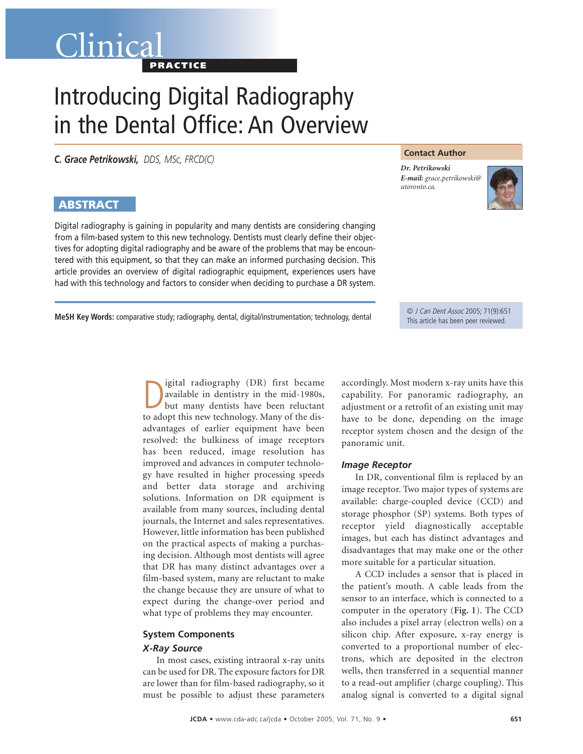# Clinical **PRACTICE**

# Introducing Digital Radiography in the Dental Office: An Overview

*C. Grace Petrikowski, DDS, MSc, FRCD(C)*

## **ABSTRACT**

Digital radiography is gaining in popularity and many dentists are considering changing from a film-based system to this new technology. Dentists must clearly define their objectives for adopting digital radiography and be aware of the problems that may be encountered with this equipment, so that they can make an informed purchasing decision. This article provides an overview of digital radiographic equipment, experiences users have had with this technology and factors to consider when deciding to purchase a DR system.

**Contact Author**

*Dr. Petrikowski E-mail: grace.petrikowski@ utoronto.ca.*



**MeSH Key Words:** comparative study; radiography, dental, digital/instrumentation; technology, dental © J Can Dent Assoc 2005; 71(9):651

This article has been peer reviewed.

Digital radiography (DR) first became<br>available in dentistry in the mid-1980s,<br>but many dentists have been reluctant<br>to adopt this new technology. Many of the disigital radiography (DR) first became available in dentistry in the mid-1980s, but many dentists have been reluctant advantages of earlier equipment have been resolved: the bulkiness of image receptors has been reduced, image resolution has improved and advances in computer technology have resulted in higher processing speeds and better data storage and archiving solutions. Information on DR equipment is available from many sources, including dental journals, the Internet and sales representatives. However, little information has been published on the practical aspects of making a purchasing decision. Although most dentists will agree that DR has many distinct advantages over a film-based system, many are reluctant to make the change because they are unsure of what to expect during the change-over period and what type of problems they may encounter.

### **System Components**

#### *X-Ray Source*

In most cases, existing intraoral x-ray units can be used for DR. The exposure factors for DR are lower than for film-based radiography, so it must be possible to adjust these parameters accordingly. Most modern x-ray units have this capability. For panoramic radiography, an adjustment or a retrofit of an existing unit may have to be done, depending on the image receptor system chosen and the design of the panoramic unit.

#### *Image Receptor*

In DR, conventional film is replaced by an image receptor. Two major types of systems are available: charge-coupled device (CCD) and storage phosphor (SP) systems. Both types of receptor yield diagnostically acceptable images, but each has distinct advantages and disadvantages that may make one or the other more suitable for a particular situation.

A CCD includes a sensor that is placed in the patient's mouth. A cable leads from the sensor to an interface, which is connected to a computer in the operatory (**Fig. 1**). The CCD also includes a pixel array (electron wells) on a silicon chip. After exposure, x-ray energy is converted to a proportional number of electrons, which are deposited in the electron wells, then transferred in a sequential manner to a read-out amplifier (charge coupling). This analog signal is converted to a digital signal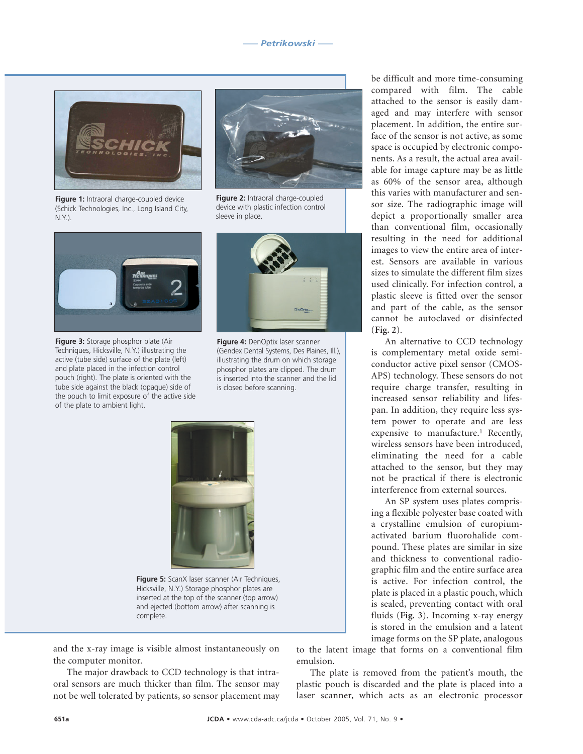

**Figure 1:** Intraoral charge-coupled device (Schick Technologies, Inc., Long Island City, N.Y.).



**Figure 3:** Storage phosphor plate (Air Techniques, Hicksville, N.Y.) illustrating the active (tube side) surface of the plate (left) and plate placed in the infection control pouch (right). The plate is oriented with the tube side against the black (opaque) side of the pouch to limit exposure of the active side of the plate to ambient light.



**Figure 2:** Intraoral charge-coupled device with plastic infection control sleeve in place.



**Figure 4:** DenOptix laser scanner (Gendex Dental Systems, Des Plaines, Ill.), illustrating the drum on which storage phosphor plates are clipped. The drum is inserted into the scanner and the lid is closed before scanning.



**Figure 5:** ScanX laser scanner (Air Techniques, Hicksville, N.Y.) Storage phosphor plates are inserted at the top of the scanner (top arrow) and ejected (bottom arrow) after scanning is complete.

and the x-ray image is visible almost instantaneously on the computer monitor.

The major drawback to CCD technology is that intraoral sensors are much thicker than film. The sensor may not be well tolerated by patients, so sensor placement may

be difficult and more time-consuming compared with film. The cable attached to the sensor is easily damaged and may interfere with sensor placement. In addition, the entire surface of the sensor is not active, as some space is occupied by electronic components. As a result, the actual area available for image capture may be as little as 60% of the sensor area, although this varies with manufacturer and sensor size. The radiographic image will depict a proportionally smaller area than conventional film, occasionally resulting in the need for additional images to view the entire area of interest. Sensors are available in various sizes to simulate the different film sizes used clinically. For infection control, a plastic sleeve is fitted over the sensor and part of the cable, as the sensor cannot be autoclaved or disinfected (**Fig. 2**).

An alternative to CCD technology is complementary metal oxide semiconductor active pixel sensor (CMOS-APS) technology. These sensors do not require charge transfer, resulting in increased sensor reliability and lifespan. In addition, they require less system power to operate and are less expensive to manufacture.<sup>1</sup> Recently, wireless sensors have been introduced, eliminating the need for a cable attached to the sensor, but they may not be practical if there is electronic interference from external sources.

An SP system uses plates comprising a flexible polyester base coated with a crystalline emulsion of europiumactivated barium fluorohalide compound. These plates are similar in size and thickness to conventional radiographic film and the entire surface area is active. For infection control, the plate is placed in a plastic pouch, which is sealed, preventing contact with oral fluids (**Fig. 3**). Incoming x-ray energy is stored in the emulsion and a latent image forms on the SP plate, analogous

to the latent image that forms on a conventional film emulsion.

The plate is removed from the patient's mouth, the plastic pouch is discarded and the plate is placed into a laser scanner, which acts as an electronic processor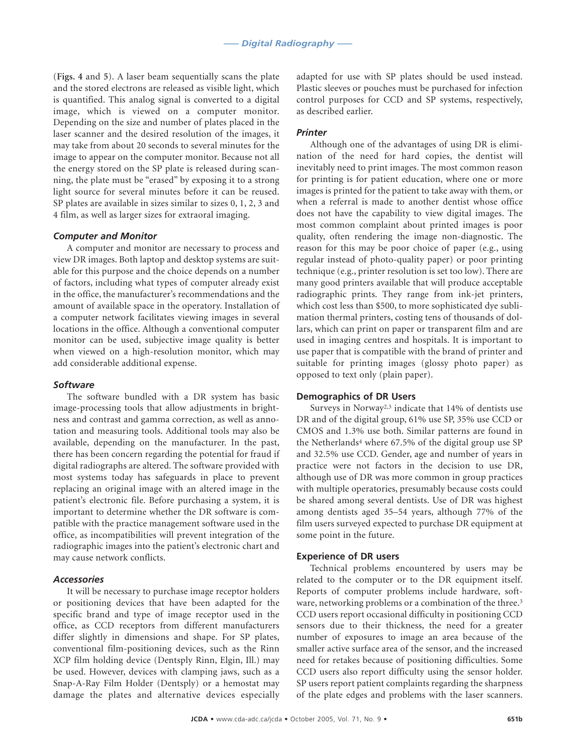(**Figs. 4** and **5**). A laser beam sequentially scans the plate and the stored electrons are released as visible light, which is quantified. This analog signal is converted to a digital image, which is viewed on a computer monitor. Depending on the size and number of plates placed in the laser scanner and the desired resolution of the images, it may take from about 20 seconds to several minutes for the image to appear on the computer monitor. Because not all the energy stored on the SP plate is released during scanning, the plate must be "erased" by exposing it to a strong light source for several minutes before it can be reused. SP plates are available in sizes similar to sizes 0, 1, 2, 3 and 4 film, as well as larger sizes for extraoral imaging.

#### *Computer and Monitor*

A computer and monitor are necessary to process and view DR images. Both laptop and desktop systems are suitable for this purpose and the choice depends on a number of factors, including what types of computer already exist in the office, the manufacturer's recommendations and the amount of available space in the operatory. Installation of a computer network facilitates viewing images in several locations in the office. Although a conventional computer monitor can be used, subjective image quality is better when viewed on a high-resolution monitor, which may add considerable additional expense.

#### *Software*

The software bundled with a DR system has basic image-processing tools that allow adjustments in brightness and contrast and gamma correction, as well as annotation and measuring tools. Additional tools may also be available, depending on the manufacturer. In the past, there has been concern regarding the potential for fraud if digital radiographs are altered. The software provided with most systems today has safeguards in place to prevent replacing an original image with an altered image in the patient's electronic file. Before purchasing a system, it is important to determine whether the DR software is compatible with the practice management software used in the office, as incompatibilities will prevent integration of the radiographic images into the patient's electronic chart and may cause network conflicts.

#### *Accessories*

It will be necessary to purchase image receptor holders or positioning devices that have been adapted for the specific brand and type of image receptor used in the office, as CCD receptors from different manufacturers differ slightly in dimensions and shape. For SP plates, conventional film-positioning devices, such as the Rinn XCP film holding device (Dentsply Rinn, Elgin, Ill.) may be used. However, devices with clamping jaws, such as a Snap-A-Ray Film Holder (Dentsply) or a hemostat may damage the plates and alternative devices especially

adapted for use with SP plates should be used instead. Plastic sleeves or pouches must be purchased for infection control purposes for CCD and SP systems, respectively, as described earlier.

#### *Printer*

Although one of the advantages of using DR is elimination of the need for hard copies, the dentist will inevitably need to print images. The most common reason for printing is for patient education, where one or more images is printed for the patient to take away with them, or when a referral is made to another dentist whose office does not have the capability to view digital images. The most common complaint about printed images is poor quality, often rendering the image non-diagnostic. The reason for this may be poor choice of paper (e.g., using regular instead of photo-quality paper) or poor printing technique (e.g., printer resolution is set too low). There are many good printers available that will produce acceptable radiographic prints. They range from ink-jet printers, which cost less than \$500, to more sophisticated dye sublimation thermal printers, costing tens of thousands of dollars, which can print on paper or transparent film and are used in imaging centres and hospitals. It is important to use paper that is compatible with the brand of printer and suitable for printing images (glossy photo paper) as opposed to text only (plain paper).

#### **Demographics of DR Users**

Surveys in Norway2,3 indicate that 14% of dentists use DR and of the digital group, 61% use SP, 35% use CCD or CMOS and 1.3% use both. Similar patterns are found in the Netherlands<sup>4</sup> where  $67.5\%$  of the digital group use SP and 32.5% use CCD. Gender, age and number of years in practice were not factors in the decision to use DR, although use of DR was more common in group practices with multiple operatories, presumably because costs could be shared among several dentists. Use of DR was highest among dentists aged 35–54 years, although 77% of the film users surveyed expected to purchase DR equipment at some point in the future.

#### **Experience of DR users**

Technical problems encountered by users may be related to the computer or to the DR equipment itself. Reports of computer problems include hardware, software, networking problems or a combination of the three.<sup>3</sup> CCD users report occasional difficulty in positioning CCD sensors due to their thickness, the need for a greater number of exposures to image an area because of the smaller active surface area of the sensor, and the increased need for retakes because of positioning difficulties. Some CCD users also report difficulty using the sensor holder. SP users report patient complaints regarding the sharpness of the plate edges and problems with the laser scanners.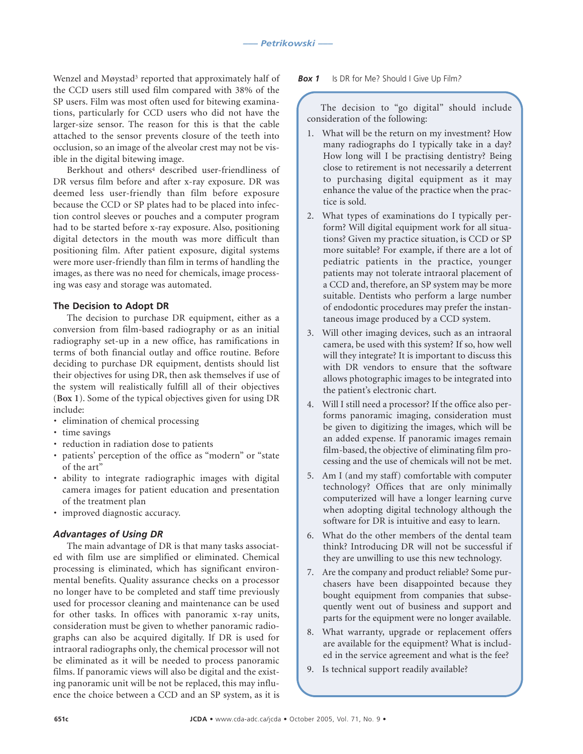Wenzel and Møystad<sup>3</sup> reported that approximately half of the CCD users still used film compared with 38% of the SP users. Film was most often used for bitewing examinations, particularly for CCD users who did not have the larger-size sensor. The reason for this is that the cable attached to the sensor prevents closure of the teeth into occlusion, so an image of the alveolar crest may not be visible in the digital bitewing image.

Berkhout and others<sup>4</sup> described user-friendliness of DR versus film before and after x-ray exposure. DR was deemed less user-friendly than film before exposure because the CCD or SP plates had to be placed into infection control sleeves or pouches and a computer program had to be started before x-ray exposure. Also, positioning digital detectors in the mouth was more difficult than positioning film. After patient exposure, digital systems were more user-friendly than film in terms of handling the images, as there was no need for chemicals, image processing was easy and storage was automated.

#### **The Decision to Adopt DR**

The decision to purchase DR equipment, either as a conversion from film-based radiography or as an initial radiography set-up in a new office, has ramifications in terms of both financial outlay and office routine. Before deciding to purchase DR equipment, dentists should list their objectives for using DR, then ask themselves if use of the system will realistically fulfill all of their objectives (**Box 1**). Some of the typical objectives given for using DR include:

- elimination of chemical processing
- time savings
- reduction in radiation dose to patients
- patients' perception of the office as "modern" or "state of the art"
- ability to integrate radiographic images with digital camera images for patient education and presentation of the treatment plan
- improved diagnostic accuracy.

#### *Advantages of Using DR*

The main advantage of DR is that many tasks associated with film use are simplified or eliminated. Chemical processing is eliminated, which has significant environmental benefits. Quality assurance checks on a processor no longer have to be completed and staff time previously used for processor cleaning and maintenance can be used for other tasks. In offices with panoramic x-ray units, consideration must be given to whether panoramic radiographs can also be acquired digitally. If DR is used for intraoral radiographs only, the chemical processor will not be eliminated as it will be needed to process panoramic films. If panoramic views will also be digital and the existing panoramic unit will be not be replaced, this may influence the choice between a CCD and an SP system, as it is

#### *Box 1* Is DR for Me? Should I Give Up Film*?*

The decision to "go digital" should include consideration of the following:

- 1. What will be the return on my investment? How many radiographs do I typically take in a day? How long will I be practising dentistry? Being close to retirement is not necessarily a deterrent to purchasing digital equipment as it may enhance the value of the practice when the practice is sold.
- 2. What types of examinations do I typically perform? Will digital equipment work for all situations? Given my practice situation, is CCD or SP more suitable? For example, if there are a lot of pediatric patients in the practice, younger patients may not tolerate intraoral placement of a CCD and, therefore, an SP system may be more suitable. Dentists who perform a large number of endodontic procedures may prefer the instantaneous image produced by a CCD system.
- 3. Will other imaging devices, such as an intraoral camera, be used with this system? If so, how well will they integrate? It is important to discuss this with DR vendors to ensure that the software allows photographic images to be integrated into the patient's electronic chart.
- 4. Will I still need a processor? If the office also performs panoramic imaging, consideration must be given to digitizing the images, which will be an added expense. If panoramic images remain film-based, the objective of eliminating film processing and the use of chemicals will not be met.
- 5. Am I (and my staff) comfortable with computer technology? Offices that are only minimally computerized will have a longer learning curve when adopting digital technology although the software for DR is intuitive and easy to learn.
- 6. What do the other members of the dental team think? Introducing DR will not be successful if they are unwilling to use this new technology.
- 7. Are the company and product reliable? Some purchasers have been disappointed because they bought equipment from companies that subsequently went out of business and support and parts for the equipment were no longer available.
- 8. What warranty, upgrade or replacement offers are available for the equipment? What is included in the service agreement and what is the fee?
- 9. Is technical support readily available?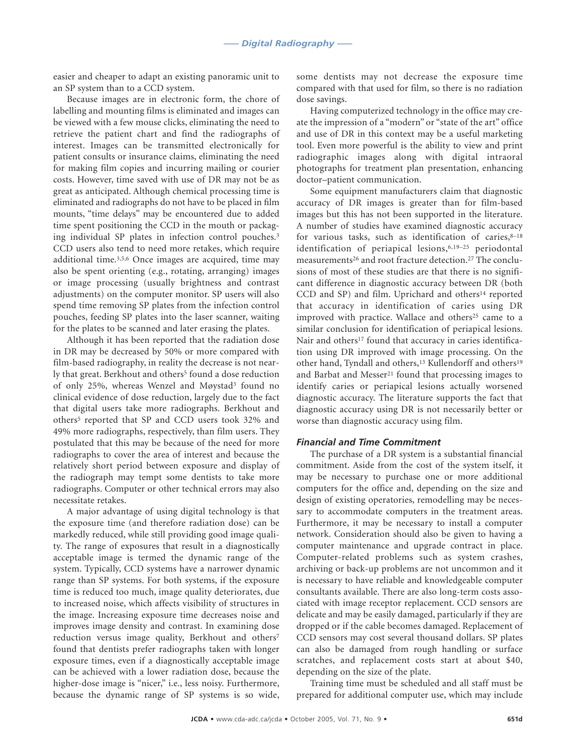easier and cheaper to adapt an existing panoramic unit to an SP system than to a CCD system.

Because images are in electronic form, the chore of labelling and mounting films is eliminated and images can be viewed with a few mouse clicks, eliminating the need to retrieve the patient chart and find the radiographs of interest. Images can be transmitted electronically for patient consults or insurance claims, eliminating the need for making film copies and incurring mailing or courier costs. However, time saved with use of DR may not be as great as anticipated. Although chemical processing time is eliminated and radiographs do not have to be placed in film mounts, "time delays" may be encountered due to added time spent positioning the CCD in the mouth or packaging individual SP plates in infection control pouches.3 CCD users also tend to need more retakes, which require additional time.3,5,6 Once images are acquired, time may also be spent orienting (e.g., rotating, arranging) images or image processing (usually brightness and contrast adjustments) on the computer monitor. SP users will also spend time removing SP plates from the infection control pouches, feeding SP plates into the laser scanner, waiting for the plates to be scanned and later erasing the plates.

Although it has been reported that the radiation dose in DR may be decreased by 50% or more compared with film-based radiography, in reality the decrease is not nearly that great. Berkhout and others<sup>5</sup> found a dose reduction of only 25%, whereas Wenzel and Møystad3 found no clinical evidence of dose reduction, largely due to the fact that digital users take more radiographs. Berkhout and others<sup>5</sup> reported that SP and CCD users took 32% and 49% more radiographs, respectively, than film users. They postulated that this may be because of the need for more radiographs to cover the area of interest and because the relatively short period between exposure and display of the radiograph may tempt some dentists to take more radiographs. Computer or other technical errors may also necessitate retakes.

A major advantage of using digital technology is that the exposure time (and therefore radiation dose) can be markedly reduced, while still providing good image quality. The range of exposures that result in a diagnostically acceptable image is termed the dynamic range of the system. Typically, CCD systems have a narrower dynamic range than SP systems. For both systems, if the exposure time is reduced too much, image quality deteriorates, due to increased noise, which affects visibility of structures in the image. Increasing exposure time decreases noise and improves image density and contrast. In examining dose reduction versus image quality, Berkhout and others<sup>7</sup> found that dentists prefer radiographs taken with longer exposure times, even if a diagnostically acceptable image can be achieved with a lower radiation dose, because the higher-dose image is "nicer," i.e., less noisy. Furthermore, because the dynamic range of SP systems is so wide,

some dentists may not decrease the exposure time compared with that used for film, so there is no radiation dose savings.

Having computerized technology in the office may create the impression of a "modern" or "state of the art" office and use of DR in this context may be a useful marketing tool. Even more powerful is the ability to view and print radiographic images along with digital intraoral photographs for treatment plan presentation, enhancing doctor–patient communication.

Some equipment manufacturers claim that diagnostic accuracy of DR images is greater than for film-based images but this has not been supported in the literature. A number of studies have examined diagnostic accuracy for various tasks, such as identification of caries, $8-18$ identification of periapical lesions,6,19–25 periodontal measurements<sup>26</sup> and root fracture detection.<sup>27</sup> The conclusions of most of these studies are that there is no significant difference in diagnostic accuracy between DR (both CCD and SP) and film. Uprichard and others<sup>14</sup> reported that accuracy in identification of caries using DR improved with practice. Wallace and others<sup>25</sup> came to a similar conclusion for identification of periapical lesions. Nair and others<sup>17</sup> found that accuracy in caries identification using DR improved with image processing. On the other hand, Tyndall and others,13 Kullendorff and others19 and Barbat and Messer<sup>21</sup> found that processing images to identify caries or periapical lesions actually worsened diagnostic accuracy. The literature supports the fact that diagnostic accuracy using DR is not necessarily better or worse than diagnostic accuracy using film.

#### *Financial and Time Commitment*

The purchase of a DR system is a substantial financial commitment. Aside from the cost of the system itself, it may be necessary to purchase one or more additional computers for the office and, depending on the size and design of existing operatories, remodelling may be necessary to accommodate computers in the treatment areas. Furthermore, it may be necessary to install a computer network. Consideration should also be given to having a computer maintenance and upgrade contract in place. Computer-related problems such as system crashes, archiving or back-up problems are not uncommon and it is necessary to have reliable and knowledgeable computer consultants available. There are also long-term costs associated with image receptor replacement. CCD sensors are delicate and may be easily damaged, particularly if they are dropped or if the cable becomes damaged. Replacement of CCD sensors may cost several thousand dollars. SP plates can also be damaged from rough handling or surface scratches, and replacement costs start at about \$40, depending on the size of the plate.

Training time must be scheduled and all staff must be prepared for additional computer use, which may include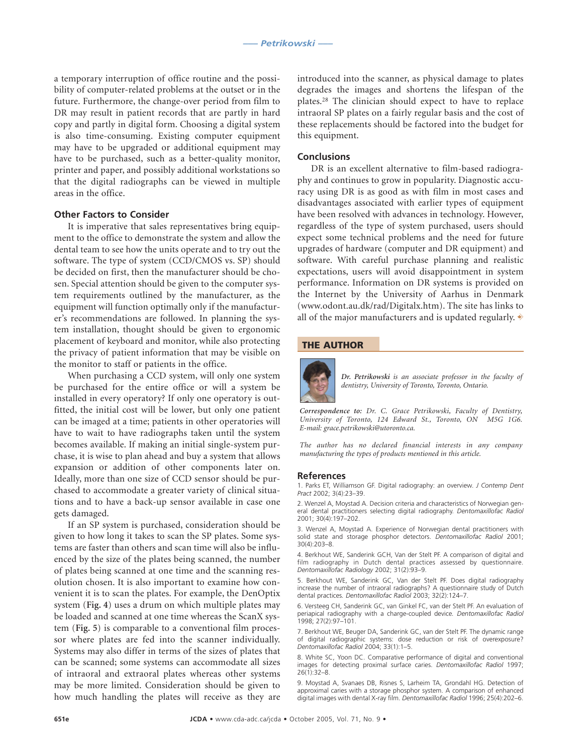a temporary interruption of office routine and the possibility of computer-related problems at the outset or in the future. Furthermore, the change-over period from film to DR may result in patient records that are partly in hard copy and partly in digital form. Choosing a digital system is also time-consuming. Existing computer equipment may have to be upgraded or additional equipment may have to be purchased, such as a better-quality monitor, printer and paper, and possibly additional workstations so that the digital radiographs can be viewed in multiple areas in the office.

#### **Other Factors to Consider**

It is imperative that sales representatives bring equipment to the office to demonstrate the system and allow the dental team to see how the units operate and to try out the software. The type of system (CCD/CMOS vs. SP) should be decided on first, then the manufacturer should be chosen. Special attention should be given to the computer system requirements outlined by the manufacturer, as the equipment will function optimally only if the manufacturer's recommendations are followed. In planning the system installation, thought should be given to ergonomic placement of keyboard and monitor, while also protecting the privacy of patient information that may be visible on the monitor to staff or patients in the office.

When purchasing a CCD system, will only one system be purchased for the entire office or will a system be installed in every operatory? If only one operatory is outfitted, the initial cost will be lower, but only one patient can be imaged at a time; patients in other operatories will have to wait to have radiographs taken until the system becomes available. If making an initial single-system purchase, it is wise to plan ahead and buy a system that allows expansion or addition of other components later on. Ideally, more than one size of CCD sensor should be purchased to accommodate a greater variety of clinical situations and to have a back-up sensor available in case one gets damaged.

If an SP system is purchased, consideration should be given to how long it takes to scan the SP plates. Some systems are faster than others and scan time will also be influenced by the size of the plates being scanned, the number of plates being scanned at one time and the scanning resolution chosen. It is also important to examine how convenient it is to scan the plates. For example, the DenOptix system (**Fig. 4**) uses a drum on which multiple plates may be loaded and scanned at one time whereas the ScanX system (**Fig. 5**) is comparable to a conventional film processor where plates are fed into the scanner individually. Systems may also differ in terms of the sizes of plates that can be scanned; some systems can accommodate all sizes of intraoral and extraoral plates whereas other systems may be more limited. Consideration should be given to how much handling the plates will receive as they are

introduced into the scanner, as physical damage to plates degrades the images and shortens the lifespan of the plates.28 The clinician should expect to have to replace intraoral SP plates on a fairly regular basis and the cost of these replacements should be factored into the budget for this equipment.

#### **Conclusions**

DR is an excellent alternative to film-based radiography and continues to grow in popularity. Diagnostic accuracy using DR is as good as with film in most cases and disadvantages associated with earlier types of equipment have been resolved with advances in technology. However, regardless of the type of system purchased, users should expect some technical problems and the need for future upgrades of hardware (computer and DR equipment) and software. With careful purchase planning and realistic expectations, users will avoid disappointment in system performance. Information on DR systems is provided on the Internet by the University of Aarhus in Denmark (www.odont.au.dk/rad/Digitalx.htm). The site has links to all of the major manufacturers and is updated regularly.  $\ast$ 

#### **THE AUTHOR**



*Dr. Petrikowski is an associate professor in the faculty of dentistry, University of Toronto, Toronto, Ontario.*

*Correspondence to: Dr. C. Grace Petrikowski, Faculty of Dentistry, University of Toronto, 124 Edward St., Toronto, ON M5G 1G6. E-mail: grace.petrikowski@utoronto.ca.*

*The author has no declared financial interests in any company manufacturing the types of products mentioned in this article.*

#### **References**

1. Parks ET, Williamson GF. Digital radiography: an overview. *J Contemp Dent Pract* 2002; 3(4):23–39.

2. Wenzel A, Moystad A. Decision criteria and characteristics of Norwegian general dental practitioners selecting digital radiography. *Dentomaxillofac Radiol* 2001; 30(4):197–202.

3. Wenzel A, Moystad A. Experience of Norwegian dental practitioners with solid state and storage phosphor detectors. *Dentomaxillofac Radiol* 2001; 30(4):203–8.

4. Berkhout WE, Sanderink GCH, Van der Stelt PF. A comparison of digital and film radiography in Dutch dental practices assessed by questionnaire. *Dentomaxillofac Radiology* 2002; 31(2):93–9.

5. Berkhout WE, Sanderink GC, Van der Stelt PF. Does digital radiography increase the number of intraoral radiographs? A questionnaire study of Dutch dental practices*. Dentomaxillofac Radiol* 2003; 32(2):124–7.

6. Versteeg CH, Sanderink GC, van Ginkel FC, van der Stelt PF. An evaluation of periapical radiography with a charge-coupled device*. Dentomaxillofac Radiol* 1998; 27(2):97–101.

7. Berkhout WE, Beuger DA, Sanderink GC, van der Stelt PF. The dynamic range of digital radiographic systems: dose reduction or risk of overexposure? *Dentomaxillofac Radiol* 2004; 33(1):1–5.

8. White SC, Yoon DC. Comparative performance of digital and conventional images for detecting proximal surface caries. *Dentomaxillofac Radiol* 1997; 26(1):32–8.

9. Moystad A, Svanaes DB, Risnes S, Larheim TA, Grondahl HG. Detection of approximal caries with a storage phosphor system. A comparison of enhanced digital images with dental X-ray film. *Dentomaxillofac Radiol* 1996; 25(4):202–6.